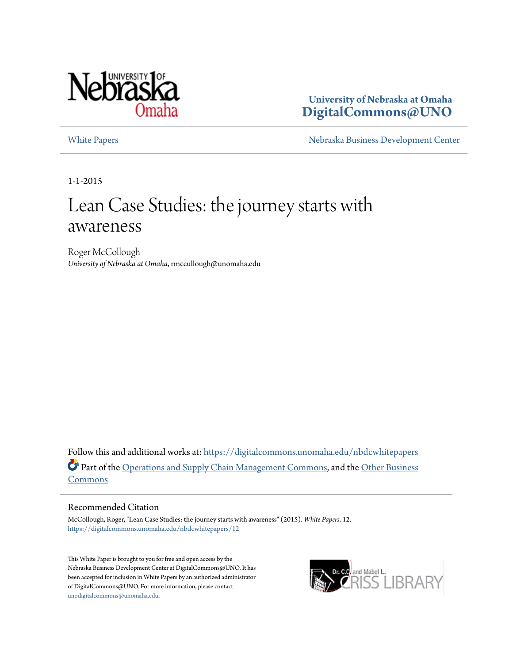

**University of Nebraska at Omaha [DigitalCommons@UNO](https://digitalcommons.unomaha.edu?utm_source=digitalcommons.unomaha.edu%2Fnbdcwhitepapers%2F12&utm_medium=PDF&utm_campaign=PDFCoverPages)**

[White Papers](https://digitalcommons.unomaha.edu/nbdcwhitepapers?utm_source=digitalcommons.unomaha.edu%2Fnbdcwhitepapers%2F12&utm_medium=PDF&utm_campaign=PDFCoverPages) **[Nebraska Business Development Center](https://digitalcommons.unomaha.edu/nbdc?utm_source=digitalcommons.unomaha.edu%2Fnbdcwhitepapers%2F12&utm_medium=PDF&utm_campaign=PDFCoverPages)** 

1-1-2015

# Lean Case Studies: the journey starts with awareness

Roger McCollough *University of Nebraska at Omaha*, rmccullough@unomaha.edu

Follow this and additional works at: [https://digitalcommons.unomaha.edu/nbdcwhitepapers](https://digitalcommons.unomaha.edu/nbdcwhitepapers?utm_source=digitalcommons.unomaha.edu%2Fnbdcwhitepapers%2F12&utm_medium=PDF&utm_campaign=PDFCoverPages) Part of the [Operations and Supply Chain Management Commons,](http://network.bepress.com/hgg/discipline/1229?utm_source=digitalcommons.unomaha.edu%2Fnbdcwhitepapers%2F12&utm_medium=PDF&utm_campaign=PDFCoverPages) and the [Other Business](http://network.bepress.com/hgg/discipline/647?utm_source=digitalcommons.unomaha.edu%2Fnbdcwhitepapers%2F12&utm_medium=PDF&utm_campaign=PDFCoverPages) [Commons](http://network.bepress.com/hgg/discipline/647?utm_source=digitalcommons.unomaha.edu%2Fnbdcwhitepapers%2F12&utm_medium=PDF&utm_campaign=PDFCoverPages)

#### Recommended Citation

McCollough, Roger, "Lean Case Studies: the journey starts with awareness" (2015). *White Papers*. 12. [https://digitalcommons.unomaha.edu/nbdcwhitepapers/12](https://digitalcommons.unomaha.edu/nbdcwhitepapers/12?utm_source=digitalcommons.unomaha.edu%2Fnbdcwhitepapers%2F12&utm_medium=PDF&utm_campaign=PDFCoverPages)

This White Paper is brought to you for free and open access by the Nebraska Business Development Center at DigitalCommons@UNO. It has been accepted for inclusion in White Papers by an authorized administrator of DigitalCommons@UNO. For more information, please contact [unodigitalcommons@unomaha.edu](mailto:unodigitalcommons@unomaha.edu).

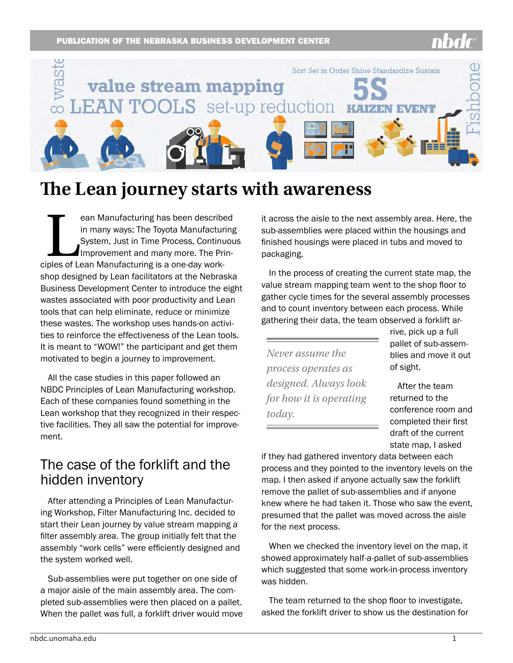#### PUBLICATION OF THE NEBRASKA BUSINESS DEVELOPMENT CENTER



## **The Lean journey starts with awareness**

ean Manufacturing has been describe<br>in many ways; The Toyota Manufactur<br>System, Just in Time Process, Continual<br>Improvement and many more. The Priciples of Lean Manufacturing is a one-day workean Manufacturing has been described in many ways; The Toyota Manufacturing System, Just in Time Process, Continuous Improvement and many more. The Prinshop designed by Lean facilitators at the Nebraska Business Development Center to introduce the eight wastes associated with poor productivity and Lean tools that can help eliminate, reduce or minimize these wastes. The workshop uses hands-on activities to reinforce the effectiveness of the Lean tools. It is meant to "WOW!" the participant and get them motivated to begin a journey to improvement.

All the case studies in this paper followed an NBDC Principles of Lean Manufacturing workshop. Each of these companies found something in the Lean workshop that they recognized in their respective facilities. They all saw the potential for improvement.

#### The case of the forklift and the hidden inventory

After attending a Principles of Lean Manufacturing Workshop, Filter Manufacturing Inc. decided to start their Lean journey by value stream mapping a filter assembly area. The group initially felt that the assembly "work cells" were efficiently designed and the system worked well.

Sub-assemblies were put together on one side of a major aisle of the main assembly area. The completed sub-assemblies were then placed on a pallet. When the pallet was full, a forklift driver would move it across the aisle to the next assembly area. Here, the sub-assemblies were placed within the housings and finished housings were placed in tubs and moved to packaging.

In the process of creating the current state map, the value stream mapping team went to the shop floor to gather cycle times for the several assembly processes and to count inventory between each process. While gathering their data, the team observed a forklift ar-

*Never assume the process operates as designed. Always look for how it is operating today.* 

rive, pick up a full pallet of sub-assemblies and move it out of sight.

After the team returned to the conference room and completed their first draft of the current state map, I asked

if they had gathered inventory data between each process and they pointed to the inventory levels on the map. I then asked if anyone actually saw the forklift remove the pallet of sub-assemblies and if anyone knew where he had taken it. Those who saw the event, presumed that the pallet was moved across the aisle for the next process.

When we checked the inventory level on the map, it showed approximately half-a-pallet of sub-assemblies which suggested that some work-in-process inventory was hidden.

The team returned to the shop floor to investigate, asked the forklift driver to show us the destination for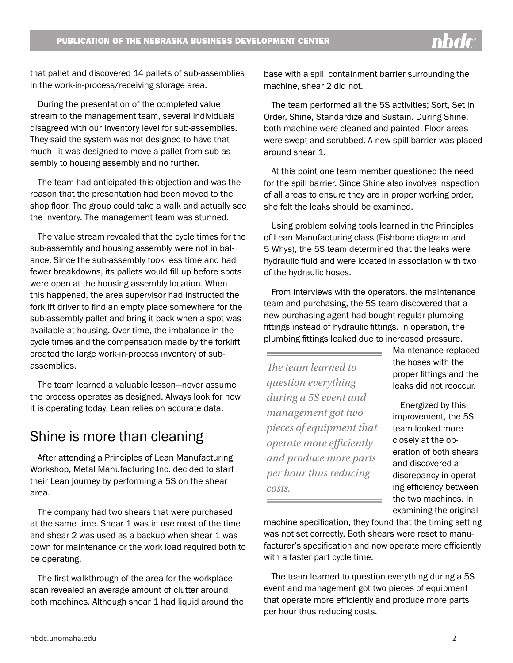that pallet and discovered 14 pallets of sub-assemblies in the work-in-process/receiving storage area.

During the presentation of the completed value stream to the management team, several individuals disagreed with our inventory level for sub-assemblies. They said the system was not designed to have that much—it was designed to move a pallet from sub-assembly to housing assembly and no further.

The team had anticipated this objection and was the reason that the presentation had been moved to the shop floor. The group could take a walk and actually see the inventory. The management team was stunned.

The value stream revealed that the cycle times for the sub-assembly and housing assembly were not in balance. Since the sub-assembly took less time and had fewer breakdowns, its pallets would fill up before spots were open at the housing assembly location. When this happened, the area supervisor had instructed the forklift driver to find an empty place somewhere for the sub-assembly pallet and bring it back when a spot was available at housing. Over time, the imbalance in the cycle times and the compensation made by the forklift created the large work-in-process inventory of subassemblies.

The team learned a valuable lesson—never assume the process operates as designed. Always look for how it is operating today. Lean relies on accurate data.

### Shine is more than cleaning

After attending a Principles of Lean Manufacturing Workshop, Metal Manufacturing Inc. decided to start their Lean journey by performing a 5S on the shear area.

The company had two shears that were purchased at the same time. Shear 1 was in use most of the time and shear 2 was used as a backup when shear 1 was down for maintenance or the work load required both to be operating.

The first walkthrough of the area for the workplace scan revealed an average amount of clutter around both machines. Although shear 1 had liquid around the base with a spill containment barrier surrounding the machine, shear 2 did not.

The team performed all the 5S activities; Sort, Set in Order, Shine, Standardize and Sustain. During Shine, both machine were cleaned and painted. Floor areas were swept and scrubbed. A new spill barrier was placed around shear 1.

At this point one team member questioned the need for the spill barrier. Since Shine also involves inspection of all areas to ensure they are in proper working order, she felt the leaks should be examined.

Using problem solving tools learned in the Principles of Lean Manufacturing class (Fishbone diagram and 5 Whys), the 5S team determined that the leaks were hydraulic fluid and were located in association with two of the hydraulic hoses.

From interviews with the operators, the maintenance team and purchasing, the 5S team discovered that a new purchasing agent had bought regular plumbing fittings instead of hydraulic fittings. In operation, the plumbing fittings leaked due to increased pressure.

*The team learned to question everything during a 5S event and management got two pieces of equipment that operate more efficiently and produce more parts per hour thus reducing costs.*

Maintenance replaced the hoses with the proper fittings and the leaks did not reoccur.

Energized by this improvement, the 5S team looked more closely at the operation of both shears and discovered a discrepancy in operating efficiency between the two machines. In examining the original

machine specification, they found that the timing setting was not set correctly. Both shears were reset to manufacturer's specification and now operate more efficiently with a faster part cycle time.

The team learned to question everything during a 5S event and management got two pieces of equipment that operate more efficiently and produce more parts per hour thus reducing costs.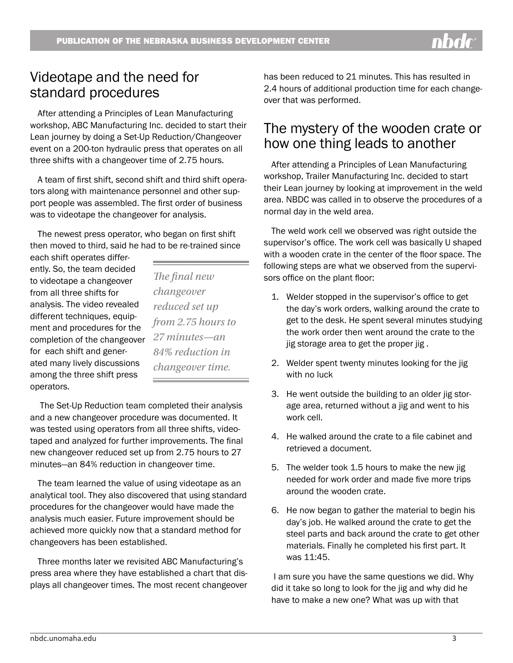#### Videotape and the need for standard procedures

After attending a Principles of Lean Manufacturing workshop, ABC Manufacturing Inc. decided to start their Lean journey by doing a Set-Up Reduction/Changeover event on a 200-ton hydraulic press that operates on all three shifts with a changeover time of 2.75 hours.

A team of first shift, second shift and third shift operators along with maintenance personnel and other support people was assembled. The first order of business was to videotape the changeover for analysis.

The newest press operator, who began on first shift then moved to third, said he had to be re-trained since

each shift operates differently. So, the team decided to videotape a changeover from all three shifts for analysis. The video revealed different techniques, equipment and procedures for the completion of the changeover for each shift and generated many lively discussions among the three shift press operators.

*The final new changeover reduced set up from 2.75 hours to 27 minutes—an 84% reduction in changeover time.* 

 The Set-Up Reduction team completed their analysis and a new changeover procedure was documented. It was tested using operators from all three shifts, videotaped and analyzed for further improvements. The final new changeover reduced set up from 2.75 hours to 27 minutes—an 84% reduction in changeover time.

The team learned the value of using videotape as an analytical tool. They also discovered that using standard procedures for the changeover would have made the analysis much easier. Future improvement should be achieved more quickly now that a standard method for changeovers has been established.

Three months later we revisited ABC Manufacturing's press area where they have established a chart that displays all changeover times. The most recent changeover has been reduced to 21 minutes. This has resulted in 2.4 hours of additional production time for each changeover that was performed.

### The mystery of the wooden crate or how one thing leads to another

After attending a Principles of Lean Manufacturing workshop, Trailer Manufacturing Inc. decided to start their Lean journey by looking at improvement in the weld area. NBDC was called in to observe the procedures of a normal day in the weld area.

The weld work cell we observed was right outside the supervisor's office. The work cell was basically U shaped with a wooden crate in the center of the floor space. The following steps are what we observed from the supervisors office on the plant floor:

- 1. Welder stopped in the supervisor's office to get the day's work orders, walking around the crate to get to the desk. He spent several minutes studying the work order then went around the crate to the jig storage area to get the proper jig .
- 2. Welder spent twenty minutes looking for the jig with no luck
- 3. He went outside the building to an older jig storage area, returned without a jig and went to his work cell.
- 4. He walked around the crate to a file cabinet and retrieved a document.
- 5. The welder took 1.5 hours to make the new jig needed for work order and made five more trips around the wooden crate.
- 6. He now began to gather the material to begin his day's job. He walked around the crate to get the steel parts and back around the crate to get other materials. Finally he completed his first part. It was 11:45.

 I am sure you have the same questions we did. Why did it take so long to look for the jig and why did he have to make a new one? What was up with that

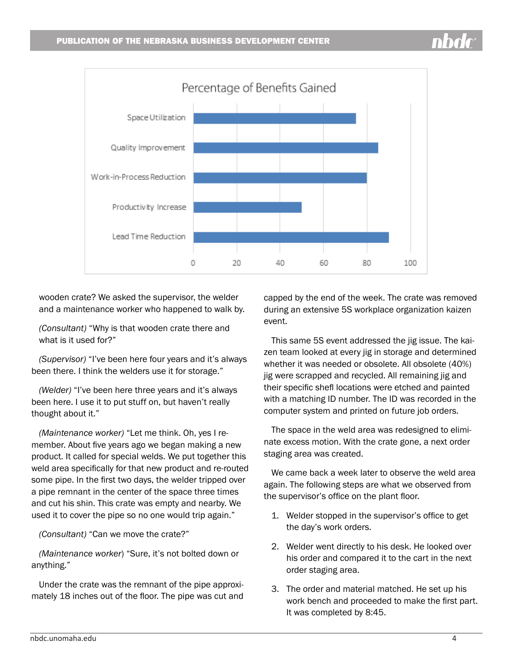

wooden crate? We asked the supervisor, the welder and a maintenance worker who happened to walk by.

*(Consultant)* "Why is that wooden crate there and what is it used for?"

*(Supervisor)* "I've been here four years and it's always been there. I think the welders use it for storage."

*(Welder)* "I've been here three years and it's always been here. I use it to put stuff on, but haven't really thought about it."

*(Maintenance worker)* "Let me think. Oh, yes I remember. About five years ago we began making a new product. It called for special welds. We put together this weld area specifically for that new product and re-routed some pipe. In the first two days, the welder tripped over a pipe remnant in the center of the space three times and cut his shin. This crate was empty and nearby. We used it to cover the pipe so no one would trip again."

*(Consultant)* "Can we move the crate?"

*(Maintenance worker*) "Sure, it's not bolted down or anything."

Under the crate was the remnant of the pipe approximately 18 inches out of the floor. The pipe was cut and capped by the end of the week. The crate was removed during an extensive 5S workplace organization kaizen event.

This same 5S event addressed the jig issue. The kaizen team looked at every jig in storage and determined whether it was needed or obsolete. All obsolete (40%) jig were scrapped and recycled. All remaining jig and their specific shefl locations were etched and painted with a matching ID number. The ID was recorded in the computer system and printed on future job orders.

The space in the weld area was redesigned to eliminate excess motion. With the crate gone, a next order staging area was created.

We came back a week later to observe the weld area again. The following steps are what we observed from the supervisor's office on the plant floor.

- 1. Welder stopped in the supervisor's office to get the day's work orders.
- 2. Welder went directly to his desk. He looked over his order and compared it to the cart in the next order staging area.
- 3. The order and material matched. He set up his work bench and proceeded to make the first part. It was completed by 8:45.